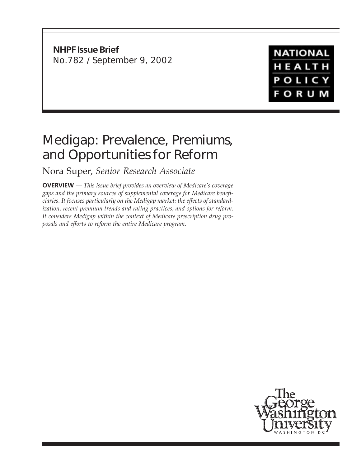# **NHPF Issue Brief** No.782 / September 9, 2002

**NATIONAL** HEALTH **POLICY FORUM** 

# Medigap: Prevalence, Premiums, and Opportunities for Reform

Nora Super, *Senior Research Associate*

**OVERVIEW** *— This issue brief provides an overview of Medicare's coverage gaps and the primary sources of supplemental coverage for Medicare beneficiaries. It focuses particularly on the Medigap market: the effects of standardization, recent premium trends and rating practices, and options for reform. It considers Medigap within the context of Medicare prescription drug proposals and efforts to reform the entire Medicare program.*

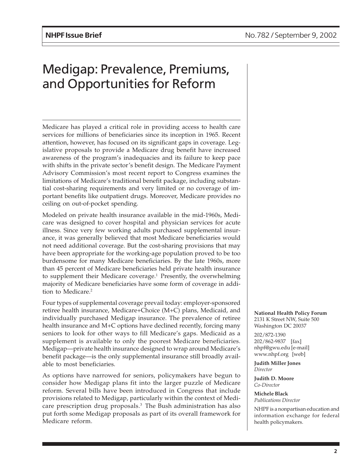# Medigap: Prevalence, Premiums, and Opportunities for Reform

Medicare has played a critical role in providing access to health care services for millions of beneficiaries since its inception in 1965. Recent attention, however, has focused on its significant gaps in coverage. Legislative proposals to provide a Medicare drug benefit have increased awareness of the program's inadequacies and its failure to keep pace with shifts in the private sector's benefit design. The Medicare Payment Advisory Commission's most recent report to Congress examines the limitations of Medicare's traditional benefit package, including substantial cost-sharing requirements and very limited or no coverage of important benefits like outpatient drugs. Moreover, Medicare provides no ceiling on out-of-pocket spending.

Modeled on private health insurance available in the mid-1960s, Medicare was designed to cover hospital and physician services for acute illness. Since very few working adults purchased supplemental insurance, it was generally believed that most Medicare beneficiaries would not need additional coverage. But the cost-sharing provisions that may have been appropriate for the working-age population proved to be too burdensome for many Medicare beneficiaries. By the late 1960s, more than 45 percent of Medicare beneficiaries held private health insurance to supplement their Medicare coverage.<sup>1</sup> Presently, the overwhelming majority of Medicare beneficiaries have some form of coverage in addition to Medicare.<sup>2</sup>

Four types of supplemental coverage prevail today: employer-sponsored retiree health insurance, Medicare+Choice (M+C) plans, Medicaid, and individually purchased Medigap insurance. The prevalence of retiree health insurance and M+C options have declined recently, forcing many seniors to look for other ways to fill Medicare's gaps. Medicaid as a supplement is available to only the poorest Medicare beneficiaries. Medigap—private health insurance designed to wrap around Medicare's benefit package—is the only supplemental insurance still broadly available to most beneficiaries.

As options have narrowed for seniors, policymakers have begun to consider how Medigap plans fit into the larger puzzle of Medicare reform. Several bills have been introduced in Congress that include provisions related to Medigap, particularly within the context of Medicare prescription drug proposals.3 The Bush administration has also put forth some Medigap proposals as part of its overall framework for Medicare reform.

**National Health Policy Forum** 2131 K Street NW, Suite 500 Washington DC 20037

202/872-1390 202/862-9837 [fax] nhpf@gwu.edu [e-mail] www.nhpf.org [web]

**Judith Miller Jones** *Director*

**Judith D. Moore** *Co-Director*

**Michele Black** *Publications Director*

NHPF is a nonpartisan education and information exchange for federal health policymakers.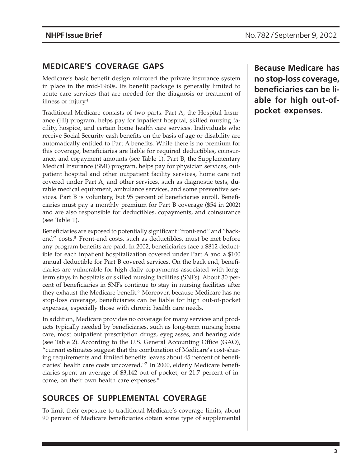# **MEDICARE'S COVERAGE GAPS**

Medicare's basic benefit design mirrored the private insurance system in place in the mid-1960s. Its benefit package is generally limited to acute care services that are needed for the diagnosis or treatment of illness or injury.<sup>4</sup>

Traditional Medicare consists of two parts. Part A, the Hospital Insurance (HI) program, helps pay for inpatient hospital, skilled nursing facility, hospice, and certain home health care services. Individuals who receive Social Security cash benefits on the basis of age or disability are automatically entitled to Part A benefits. While there is no premium for this coverage, beneficiaries are liable for required deductibles, coinsurance, and copayment amounts (see Table 1). Part B, the Supplementary Medical Insurance (SMI) program, helps pay for physician services, outpatient hospital and other outpatient facility services, home care not covered under Part A, and other services, such as diagnostic tests, durable medical equipment, ambulance services, and some preventive services. Part B is voluntary, but 95 percent of beneficiaries enroll. Beneficiaries must pay a monthly premium for Part B coverage (\$54 in 2002) and are also responsible for deductibles, copayments, and coinsurance (see Table 1).

Beneficiaries are exposed to potentially significant "front-end" and "backend" costs.<sup>5</sup> Front-end costs, such as deductibles, must be met before any program benefits are paid. In 2002, beneficiaries face a \$812 deductible for each inpatient hospitalization covered under Part A and a \$100 annual deductible for Part B covered services. On the back end, beneficiaries are vulnerable for high daily copayments associated with longterm stays in hospitals or skilled nursing facilities (SNFs). About 30 percent of beneficiaries in SNFs continue to stay in nursing facilities after they exhaust the Medicare benefit.<sup>6</sup> Moreover, because Medicare has no stop-loss coverage, beneficiaries can be liable for high out-of-pocket expenses, especially those with chronic health care needs.

In addition, Medicare provides no coverage for many services and products typically needed by beneficiaries, such as long-term nursing home care, most outpatient prescription drugs, eyeglasses, and hearing aids (see Table 2). According to the U.S. General Accounting Office (GAO), "current estimates suggest that the combination of Medicare's cost-sharing requirements and limited benefits leaves about 45 percent of beneficiaries' health care costs uncovered."7 In 2000, elderly Medicare beneficiaries spent an average of \$3,142 out of pocket, or 21.7 percent of income, on their own health care expenses.<sup>8</sup>

# **SOURCES OF SUPPLEMENTAL COVERAGE**

To limit their exposure to traditional Medicare's coverage limits, about 90 percent of Medicare beneficiaries obtain some type of supplemental

**Because Medicare has no stop-loss coverage, beneficiaries can be liable for high out-ofpocket expenses.**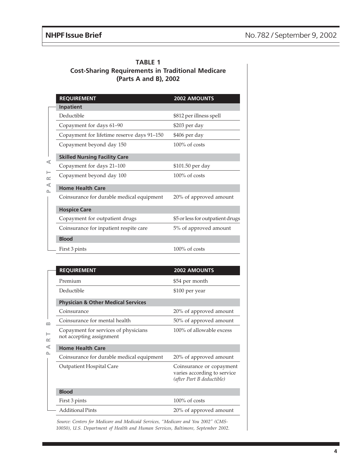| <b>TABLE 1</b>                                           |  |  |  |  |  |  |  |  |  |
|----------------------------------------------------------|--|--|--|--|--|--|--|--|--|
| <b>Cost-Sharing Requirements in Traditional Medicare</b> |  |  |  |  |  |  |  |  |  |
| (Parts A and B), 2002                                    |  |  |  |  |  |  |  |  |  |

|   | <b>REQUIREMENT</b>                         | 2002 AMOUNTS                     |  |  |  |  |  |  |
|---|--------------------------------------------|----------------------------------|--|--|--|--|--|--|
|   | Inpatient                                  |                                  |  |  |  |  |  |  |
| ⋖ | Deductible                                 | \$812 per illness spell          |  |  |  |  |  |  |
|   | Copayment for days 61-90                   | \$203 per day                    |  |  |  |  |  |  |
|   | Copayment for lifetime reserve days 91-150 | \$406 per day                    |  |  |  |  |  |  |
|   | Copayment beyond day 150                   | $100\%$ of costs                 |  |  |  |  |  |  |
|   | <b>Skilled Nursing Facility Care</b>       |                                  |  |  |  |  |  |  |
|   | Copayment for days 21-100                  | \$101.50 per day                 |  |  |  |  |  |  |
|   | Copayment beyond day 100                   | $100\%$ of costs                 |  |  |  |  |  |  |
| ⋖ | <b>Home Health Care</b>                    |                                  |  |  |  |  |  |  |
|   | Coinsurance for durable medical equipment  | 20% of approved amount           |  |  |  |  |  |  |
|   | <b>Hospice Care</b>                        |                                  |  |  |  |  |  |  |
|   | Copayment for outpatient drugs             | \$5 or less for outpatient drugs |  |  |  |  |  |  |
|   | Coinsurance for inpatient respite care     | 5% of approved amount            |  |  |  |  |  |  |
|   | <b>Blood</b>                               |                                  |  |  |  |  |  |  |
|   | First 3 pints                              | $100\%$ of costs                 |  |  |  |  |  |  |

| ⋖<br>⊢<br>$\approx$ | Copayment for days 21-100                                        | \$101.50 per day                                                                     |  |  |  |
|---------------------|------------------------------------------------------------------|--------------------------------------------------------------------------------------|--|--|--|
|                     | Copayment beyond day 100                                         | 100% of costs                                                                        |  |  |  |
| $\prec$<br>௨        | <b>Home Health Care</b>                                          |                                                                                      |  |  |  |
|                     | Coinsurance for durable medical equipment                        | 20% of approved amount                                                               |  |  |  |
|                     | <b>Hospice Care</b>                                              |                                                                                      |  |  |  |
|                     | Copayment for outpatient drugs                                   | \$5 or less for outpatient drugs                                                     |  |  |  |
|                     | Coinsurance for inpatient respite care                           | 5% of approved amount                                                                |  |  |  |
|                     | <b>Blood</b>                                                     |                                                                                      |  |  |  |
|                     | First 3 pints                                                    | $100\%$ of costs                                                                     |  |  |  |
|                     |                                                                  |                                                                                      |  |  |  |
|                     | <b>REQUIREMENT</b>                                               | 2002 AMOUNTS                                                                         |  |  |  |
|                     | Premium                                                          | \$54 per month                                                                       |  |  |  |
|                     | Deductible                                                       | \$100 per year                                                                       |  |  |  |
|                     | <b>Physician &amp; Other Medical Services</b>                    |                                                                                      |  |  |  |
|                     | Coinsurance                                                      | 20% of approved amount                                                               |  |  |  |
| മ                   | Coinsurance for mental health                                    | 50% of approved amount                                                               |  |  |  |
| ⊢<br>œ              | Copayment for services of physicians<br>not accepting assignment | 100% of allowable excess                                                             |  |  |  |
| ⋖                   | <b>Home Health Care</b>                                          |                                                                                      |  |  |  |
| ௨                   | Coinsurance for durable medical equipment                        | 20% of approved amount                                                               |  |  |  |
|                     | Outpatient Hospital Care                                         | Coinsurance or copayment<br>varies according to service<br>(after Part B deductible) |  |  |  |
|                     | <b>Blood</b>                                                     |                                                                                      |  |  |  |
|                     | First 3 pints                                                    | 100% of costs                                                                        |  |  |  |
|                     | <b>Additional Pints</b>                                          | 20% of approved amount                                                               |  |  |  |
|                     |                                                                  |                                                                                      |  |  |  |

*Source: Centers for Medicare and Medicaid Services, "Medicare and You 2002" (CMS-10050), U.S. Department of Health and Human Services, Baltimore, September 2002.*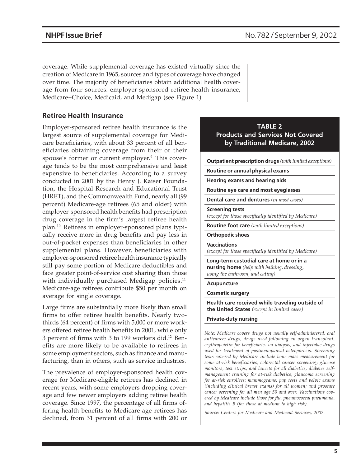coverage. While supplemental coverage has existed virtually since the creation of Medicare in 1965, sources and types of coverage have changed over time. The majority of beneficiaries obtain additional health coverage from four sources: employer-sponsored retiree health insurance, Medicare+Choice, Medicaid, and Medigap (see Figure 1).

### **Retiree Health Insurance**

Employer-sponsored retiree health insurance is the largest source of supplemental coverage for Medicare beneficiaries, with about 33 percent of all beneficiaries obtaining coverage from their or their spouse's former or current employer.<sup>9</sup> This coverage tends to be the most comprehensive and least expensive to beneficiaries. According to a survey conducted in 2001 by the Henry J. Kaiser Foundation, the Hospital Research and Educational Trust (HRET), and the Commonwealth Fund, nearly all (99 percent) Medicare-age retirees (65 and older) with employer-sponsored health benefits had prescription drug coverage in the firm's largest retiree health plan.10 Retirees in employer-sponsored plans typically receive more in drug benefits and pay less in out-of-pocket expenses than beneficiaries in other supplemental plans. However, beneficiaries with employer-sponsored retiree health insurance typically still pay some portion of Medicare deductibles and face greater point-of-service cost sharing than those with individually purchased Medigap policies. $11$ Medicare-age retirees contribute \$50 per month on average for single coverage.

Large firms are substantially more likely than small firms to offer retiree health benefits. Nearly twothirds (64 percent) of firms with 5,000 or more workers offered retiree health benefits in 2001, while only 3 percent of firms with 3 to 199 workers did.12 Benefits are more likely to be available to retirees in some employment sectors, such as finance and manufacturing, than in others, such as service industries.

The prevalence of employer-sponsored health coverage for Medicare-eligible retirees has declined in recent years, with some employers dropping coverage and few newer employers adding retiree health coverage. Since 1997, the percentage of all firms offering health benefits to Medicare-age retirees has declined, from 31 percent of all firms with 200 or

### **TABLE 2 Products and Services Not Covered by Traditional Medicare, 2002**

**Outpatient prescription drugs** *(with limited exceptions)*

**Routine or annual physical exams**

**Hearing exams and hearing aids**

**Routine eye care and most eyeglasses**

**Dental care and dentures** *(in most cases)*

#### **Screening tests**

*(except for those specifically identified by Medicare)*

**Routine foot care** *(with limited exceptions)*

**Orthopedic shoes**

**Vaccinations**

*(except for those specifically identified by Medicare)*

**Long-term custodial care at home or in a nursing home** *(help with bathing, dressing, using the bathroom, and eating)*

#### **Acupuncture**

#### **Cosmetic surgery**

**Health care received while traveling outside of the United States** *(except in limited cases)*

#### **Private-duty nursing**

*Note: Medicare covers drugs not usually self-administered, oral anticancer drugs, drugs used following an organ transplant, erythropoietin for beneficiaries on dialysis, and injectable drugs used for treatment of postmenopausal osteoporosis. Screening tests covered by Medicare include bone mass measurement for some at-risk beneficiaries; colorectal cancer screening; glucose monitors, test strips, and lancets for all diabetics; diabetes selfmanagement training for at-risk diabetics; glaucoma screening for at-risk enrollees; mammograms; pap tests and pelvic exams (including clinical breast exams) for all women; and prostate cancer screening for all men age 50 and over. Vaccinations covered by Medicare include those for flu, pneumococcal pneumonia, and hepatitis B (for those at medium to high risk).*

*Source: Centers for Medicare and Medicaid Services, 2002.*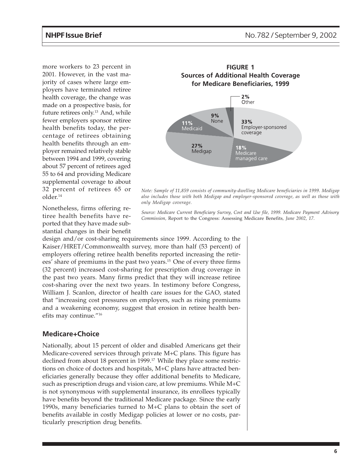more workers to 23 percent in 2001. However, in the vast majority of cases where large employers have terminated retiree health coverage, the change was made on a prospective basis, for future retirees only.<sup>13</sup> And, while fewer employers sponsor retiree health benefits today, the percentage of retirees obtaining health benefits through an employer remained relatively stable between 1994 and 1999, covering about 57 percent of retirees aged 55 to 64 and providing Medicare supplemental coverage to about 32 percent of retirees 65 or older.14

Nonetheless, firms offering retiree health benefits have reported that they have made substantial changes in their benefit



*Note: Sample of 11,859 consists of community-dwelling Medicare beneficiaries in 1999. Medigap also includes those with both Medigap and employer-sponsored coverage, as well as those with only Medigap coverage.*

*Source: Medicare Current Beneficiary Survey, Cost and Use file, 1999. Medicare Payment Advisory Commission,* Report to the Congress: Assessing Medicare Benefits*, June 2002, 17.*

design and/or cost-sharing requirements since 1999. According to the Kaiser/HRET/Commonwealth survey, more than half (53 percent) of employers offering retiree health benefits reported increasing the retirees' share of premiums in the past two years.15 One of every three firms (32 percent) increased cost-sharing for prescription drug coverage in the past two years. Many firms predict that they will increase retiree cost-sharing over the next two years. In testimony before Congress, William J. Scanlon, director of health care issues for the GAO, stated that "increasing cost pressures on employers, such as rising premiums and a weakening economy, suggest that erosion in retiree health benefits may continue."16

#### **Medicare+Choice**

Nationally, about 15 percent of older and disabled Americans get their Medicare-covered services through private M+C plans. This figure has declined from about 18 percent in 1999.<sup>17</sup> While they place some restrictions on choice of doctors and hospitals, M+C plans have attracted beneficiaries generally because they offer additional benefits to Medicare, such as prescription drugs and vision care, at low premiums. While M+C is not synonymous with supplemental insurance, its enrollees typically have benefits beyond the traditional Medicare package. Since the early 1990s, many beneficiaries turned to M+C plans to obtain the sort of benefits available in costly Medigap policies at lower or no costs, particularly prescription drug benefits.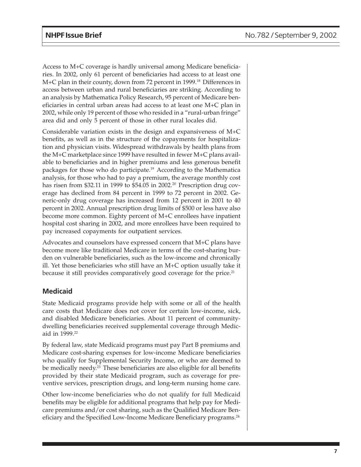Access to M+C coverage is hardly universal among Medicare beneficiaries. In 2002, only 61 percent of beneficiaries had access to at least one M+C plan in their county, down from 72 percent in 1999.<sup>18</sup> Differences in access between urban and rural beneficiaries are striking. According to an analysis by Mathematica Policy Research, 95 percent of Medicare beneficiaries in central urban areas had access to at least one M+C plan in 2002, while only 19 percent of those who resided in a "rural-urban fringe" area did and only 5 percent of those in other rural locales did.

Considerable variation exists in the design and expansiveness of M+C benefits, as well as in the structure of the copayments for hospitalization and physician visits. Widespread withdrawals by health plans from the M+C marketplace since 1999 have resulted in fewer M+C plans available to beneficiaries and in higher premiums and less generous benefit packages for those who do participate.19 According to the Mathematica analysis, for those who had to pay a premium, the average monthly cost has risen from \$32.11 in 1999 to \$54.05 in 2002.<sup>20</sup> Prescription drug coverage has declined from 84 percent in 1999 to 72 percent in 2002. Generic-only drug coverage has increased from 12 percent in 2001 to 40 percent in 2002. Annual prescription drug limits of \$500 or less have also become more common. Eighty percent of M+C enrollees have inpatient hospital cost sharing in 2002, and more enrollees have been required to pay increased copayments for outpatient services.

Advocates and counselors have expressed concern that M+C plans have become more like traditional Medicare in terms of the cost-sharing burden on vulnerable beneficiaries, such as the low-income and chronically ill. Yet those beneficiaries who still have an M+C option usually take it because it still provides comparatively good coverage for the price.<sup>21</sup>

## **Medicaid**

State Medicaid programs provide help with some or all of the health care costs that Medicare does not cover for certain low-income, sick, and disabled Medicare beneficiaries. About 11 percent of communitydwelling beneficiaries received supplemental coverage through Medicaid in 1999.<sup>22</sup>

By federal law, state Medicaid programs must pay Part B premiums and Medicare cost-sharing expenses for low-income Medicare beneficiaries who qualify for Supplemental Security Income, or who are deemed to be medically needy.<sup>23</sup> These beneficiaries are also eligible for all benefits provided by their state Medicaid program, such as coverage for preventive services, prescription drugs, and long-term nursing home care.

Other low-income beneficiaries who do not qualify for full Medicaid benefits may be eligible for additional programs that help pay for Medicare premiums and/or cost sharing, such as the Qualified Medicare Beneficiary and the Specified Low-Income Medicare Beneficiary programs.<sup>24</sup>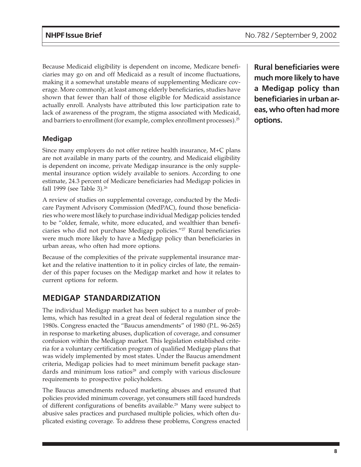Because Medicaid eligibility is dependent on income, Medicare beneficiaries may go on and off Medicaid as a result of income fluctuations, making it a somewhat unstable means of supplementing Medicare coverage. More commonly, at least among elderly beneficiaries, studies have shown that fewer than half of those eligible for Medicaid assistance actually enroll. Analysts have attributed this low participation rate to lack of awareness of the program, the stigma associated with Medicaid, and barriers to enrollment (for example, complex enrollment processes).25

## **Medigap**

Since many employers do not offer retiree health insurance, M+C plans are not available in many parts of the country, and Medicaid eligibility is dependent on income, private Medigap insurance is the only supplemental insurance option widely available to seniors. According to one estimate, 24.3 percent of Medicare beneficiaries had Medigap policies in fall 1999 (see Table 3).<sup>26</sup>

A review of studies on supplemental coverage, conducted by the Medicare Payment Advisory Commission (MedPAC), found those beneficiaries who were most likely to purchase individual Medigap policies tended to be "older, female, white, more educated, and wealthier than beneficiaries who did not purchase Medigap policies."27 Rural beneficiaries were much more likely to have a Medigap policy than beneficiaries in urban areas, who often had more options.

Because of the complexities of the private supplemental insurance market and the relative inattention to it in policy circles of late, the remainder of this paper focuses on the Medigap market and how it relates to current options for reform.

# **MEDIGAP STANDARDIZATION**

The individual Medigap market has been subject to a number of problems, which has resulted in a great deal of federal regulation since the 1980s. Congress enacted the "Baucus amendments" of 1980 (P.L. 96-265) in response to marketing abuses, duplication of coverage, and consumer confusion within the Medigap market. This legislation established criteria for a voluntary certification program of qualified Medigap plans that was widely implemented by most states. Under the Baucus amendment criteria, Medigap policies had to meet minimum benefit package standards and minimum loss ratios $28$  and comply with various disclosure requirements to prospective policyholders.

The Baucus amendments reduced marketing abuses and ensured that policies provided minimum coverage, yet consumers still faced hundreds of different configurations of benefits available.<sup>29</sup> Many were subject to abusive sales practices and purchased multiple policies, which often duplicated existing coverage. To address these problems, Congress enacted

**Rural beneficiaries were much more likely to have a Medigap policy than beneficiaries in urban areas, who often had more options.**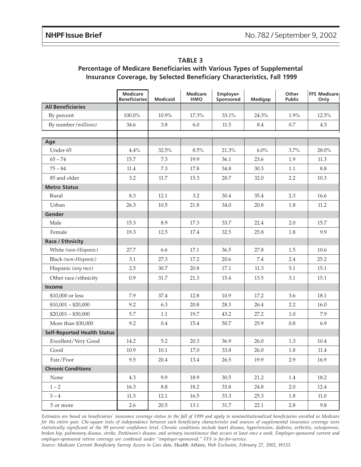|                                    | <b>Medicare</b><br><b>Beneficiaries</b> | <b>Medicaid</b> | <b>Medicare</b><br><b>HMO</b> | Employer-<br>Sponsored | <b>Medigap</b> | Other<br><b>Public</b> | <b>FFS Medicare</b><br>Only |
|------------------------------------|-----------------------------------------|-----------------|-------------------------------|------------------------|----------------|------------------------|-----------------------------|
| <b>All Beneficiaries</b>           |                                         |                 |                               |                        |                |                        |                             |
| By percent                         | 100.0%                                  | 10.9%           | 17.3%                         | 33.1%                  | 24.3%          | 1.9%                   | 12.5%                       |
| By number (millions)               | 34.6                                    | 3.8             | 6.0                           | 11.5                   | 8.4            | 0.7                    | 4.3                         |
|                                    |                                         |                 |                               |                        |                |                        |                             |
| Age<br>Under 65                    | 4.4%                                    | 32.5%           | 8.5%                          | 21.3%                  | 6.0%           | 3.7%                   | 28.0%                       |
| $65 - 74$                          | 15.7                                    | 7.3             | 19.9                          | 36.1                   | 23.6           | 1.9                    | 11.3                        |
|                                    |                                         |                 |                               |                        |                |                        |                             |
| $75 - 84$                          | 11.4                                    | 7.3             | 17.8                          | 34.8                   | 30.3           | 1.1                    | 8.8                         |
| 85 and older                       | 3.2                                     | $11.7\,$        | 15.3                          | 28.7                   | 32.0           | 2.2                    | 10.3                        |
| <b>Metro Status</b>                |                                         |                 |                               |                        |                |                        |                             |
| Rural                              | 8.3                                     | 12.1            | 3.2                           | 30.4                   | 35.4           | 2.3                    | 16.6                        |
| Urban                              | 26.3                                    | 10.5            | 21.8                          | 34.0                   | 20.8           | 1.8                    | 11.2                        |
| Gender                             |                                         |                 |                               |                        |                |                        |                             |
| Male                               | 15.3                                    | 8.9             | 17.3                          | 33.7                   | 22.4           | 2.0                    | 15.7                        |
| Female                             | 19.3                                    | 12.5            | 17.4                          | 32.5                   | 25.8           | 1.8                    | 9.9                         |
| <b>Race / Ethnicity</b>            |                                         |                 |                               |                        |                |                        |                             |
| White (non-Hispanic)               | 27.7                                    | 6.6             | 17.1                          | 36.5                   | 27.8           | 1.5                    | 10.6                        |
| Black (non-Hispanic)               | 3.1                                     | 27.3            | 17.2                          | 20.6                   | 7.4            | 2.4                    | 25.2                        |
| Hispanic (any race)                | 2.5                                     | 30.7            | 20.8                          | 17.1                   | $11.3\,$       | 5.1                    | 15.1                        |
| Other race/ethnicity               | 0.9                                     | 31.7            | 21.3                          | 15.4                   | 13.5           | 3.1                    | 15.1                        |
| Income                             |                                         |                 |                               |                        |                |                        |                             |
| \$10,000 or less                   | 7.9                                     | 37.4            | 12.8                          | 10.9                   | 17.2           | 3.6                    | 18.1                        |
| $$10,001 - $20,000$                | 9.2                                     | 6.3             | 20.8                          | 28.3                   | 26.4           | 2.2                    | 16.0                        |
| $$20,001 - $30,000$                | 5.7                                     | 1.1             | 19.7                          | 43.2                   | 27.2           | 1.0                    | 7.9                         |
| More than \$30,000                 | 9.2                                     | 0.4             | 15.4                          | 50.7                   | 25.9           | 0.8                    | 6.9                         |
| <b>Self-Reported Health Status</b> |                                         |                 |                               |                        |                |                        |                             |
| Excellent/Very Good                | 14.2                                    | 5.2             | 20.3                          | 36.9                   | 26.0           | 1.3                    | 10.4                        |
| Good                               | 10.9                                    | $10.1\,$        | $17.0\,$                      | 33.8                   | 26.0           | $1.8\,$                | $11.4\,$                    |
| Fair/Poor                          | 9.5                                     | 20.4            | 13.4                          | 26.5                   | 19.9           | 2.9                    | 16.9                        |
| <b>Chronic Conditions</b>          |                                         |                 |                               |                        |                |                        |                             |
| None                               | 4.3                                     | 9.9             | 18.9                          | 30.5                   | 21.2           | 1.4                    | 18.2                        |
| $1 - 2$                            | 16.3                                    | 8.8             | 18.2                          | 33.8                   | 24.8           | 2.0                    | 12.4                        |
| $3 - 4$                            | 11.3                                    | 12.1            | 16.5                          | 33.3                   | 25.3           | 1.8                    | 11.0                        |
| 5 or more                          | $2.6\,$                                 | 20.5            | 13.1                          | 31.7                   | 22.1           | 2.8                    | 9.8                         |

#### **TABLE 3 Percentage of Medicare Beneficiaries with Various Types of Supplemental Insurance Coverage, by Selected Beneficiary Characteristics, Fall 1999**

*Estimates are based on beneficiaries' insurance coverage status in the fall of 1999 and apply to noninstitutionalized beneficiaries enrolled in Medicare for the entire year. Chi-square tests of independence between each beneficiary characteristic and sources of supplemental insurance coverage were statistically significant at the 99 percent confidence level. Chronic conditions include heart disease, hypertension, diabetes, arthritis, osteoporosis, broken hip, pulmonary disease, stroke, Parkinson's disease, and urinary incontinence that occurs at least once a week. Employer-sponsored current and employer-sponsored retiree coverage are combined under "employer-sponsored." FFS is fee-for-service.*

*Source: Medicare Current Beneficiary Survey Access to Care data,* Health Affairs, *Web Exclusive, February 27, 2002, W133.*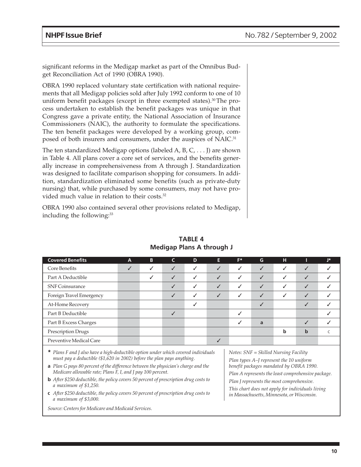significant reforms in the Medigap market as part of the Omnibus Budget Reconciliation Act of 1990 (OBRA 1990).

OBRA 1990 replaced voluntary state certification with national requirements that all Medigap policies sold after July 1992 conform to one of 10 uniform benefit packages (except in three exempted states).<sup>30</sup>The process undertaken to establish the benefit packages was unique in that Congress gave a private entity, the National Association of Insurance Commissioners (NAIC), the authority to formulate the specifications. The ten benefit packages were developed by a working group, composed of both insurers and consumers, under the auspices of NAIC.<sup>31</sup>

The ten standardized Medigap options (labeled A, B, C,  $\dots$  J) are shown in Table 4. All plans cover a core set of services, and the benefits generally increase in comprehensiveness from A through J. Standardization was designed to facilitate comparison shopping for consumers. In addition, standardization eliminated some benefits (such as private-duty nursing) that, while purchased by some consumers, may not have provided much value in relation to their costs.<sup>32</sup>

OBRA 1990 also contained several other provisions related to Medigap, including the following:<sup>33</sup>

| <b>Covered Benefits</b>  | $\mathbf{A}$ | B | C            | D            | Е            | F* | G            | н |              | J* |
|--------------------------|--------------|---|--------------|--------------|--------------|----|--------------|---|--------------|----|
| Core Benefits            | ✓            | ✓ | ✓            | ✓            | ✓            | ✓  | ✓            | ✓ | ✓            |    |
| Part A Deductible        |              | ✓ | $\checkmark$ | ✓            | $\checkmark$ | ✓  | $\checkmark$ | √ | $\checkmark$ |    |
| <b>SNF Coinsurance</b>   |              |   | ✓            | ✓            | $\checkmark$ | ✓  | $\checkmark$ | ✓ | $\checkmark$ |    |
| Foreign Travel Emergency |              |   | ✓            | $\checkmark$ | $\checkmark$ | √  | ✓            | √ | ✓            |    |
| At-Home Recovery         |              |   |              |              |              |    |              |   | ✓            |    |
| Part B Deductible        |              |   | ✓            |              |              |    |              |   |              |    |
| Part B Excess Charges    |              |   |              |              |              |    | a            |   | $\checkmark$ |    |
| Prescription Drugs       |              |   |              |              |              |    |              | b | $\mathbf b$  |    |
| Preventive Medical Care  |              |   |              |              | ✓            |    |              |   |              |    |
|                          |              |   |              |              |              |    |              |   |              |    |

**TABLE 4 Medigap Plans A through J**

**\*** *Plans F and J also have a high-deductible option under which covered individuals must pay a deductible (\$1,620 in 2002) before the plan pays anything.*

- **b** *After \$250 deductible, the policy covers 50 percent of prescription drug costs to a maximum of \$1,250.*
- **c** *After \$250 deductible, the policy covers 50 percent of prescription drug costs to a maximum of \$3,000.*

*Source: Centers for Medicare and Medicaid Services.*

*Notes: SNF = Skilled Nursing Facility Plan types A–J represent the 10 uniform benefit packages mandated by OBRA 1990.*

*Plan A represents the least comprehensive package.*

*Plan J represents the most comprehensive.*

*This chart does not apply for individuals living in Massachusetts, Minnesota, or Wisconsin.*

**a** *Plan G pays 80 percent of the difference between the physician's charge and the Medicare allowable rate; Plans F, I, and J pay 100 percent.*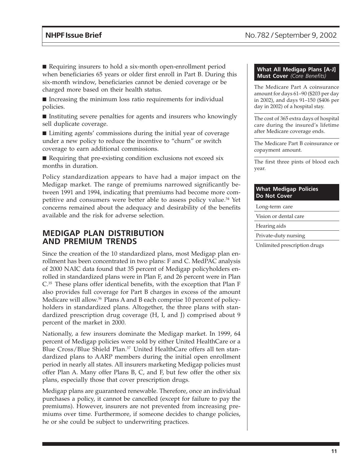■ Requiring insurers to hold a six-month open-enrollment period when beneficiaries 65 years or older first enroll in Part B. During this six-month window, beneficiaries cannot be denied coverage or be charged more based on their health status.

■ Increasing the minimum loss ratio requirements for individual policies.

■ Instituting severe penalties for agents and insurers who knowingly sell duplicate coverage.

■ Limiting agents' commissions during the initial year of coverage under a new policy to reduce the incentive to "churn" or switch coverage to earn additional commissions.

■ Requiring that pre-existing condition exclusions not exceed six months in duration.

Policy standardization appears to have had a major impact on the Medigap market. The range of premiums narrowed significantly between 1991 and 1994, indicating that premiums had become more competitive and consumers were better able to assess policy value.<sup>34</sup> Yet concerns remained about the adequacy and desirability of the benefits available and the risk for adverse selection.

## **MEDIGAP PLAN DISTRIBUTION AND PREMIUM TRENDS**

Since the creation of the 10 standardized plans, most Medigap plan enrollment has been concentrated in two plans: F and C. MedPAC analysis of 2000 NAIC data found that 35 percent of Medigap policyholders enrolled in standardized plans were in Plan F, and 26 percent were in Plan C.35 These plans offer identical benefits, with the exception that Plan F also provides full coverage for Part B charges in excess of the amount Medicare will allow.<sup>36</sup> Plans A and B each comprise 10 percent of policyholders in standardized plans. Altogether, the three plans with standardized prescription drug coverage (H, I, and J) comprised about 9 percent of the market in 2000.

Nationally, a few insurers dominate the Medigap market. In 1999, 64 percent of Medigap policies were sold by either United HealthCare or a Blue Cross/Blue Shield Plan.<sup>37</sup> United HealthCare offers all ten standardized plans to AARP members during the initial open enrollment period in nearly all states. All insurers marketing Medigap policies must offer Plan A. Many offer Plans B, C, and F, but few offer the other six plans, especially those that cover prescription drugs.

Medigap plans are guaranteed renewable. Therefore, once an individual purchases a policy, it cannot be cancelled (except for failure to pay the premiums). However, insurers are not prevented from increasing premiums over time. Furthermore, if someone decides to change policies, he or she could be subject to underwriting practices.

#### **What All Medigap Plans [A-J] Must Cover** *(Core Benefits)*

The Medicare Part A coinsurance amount for days 61–90 (\$203 per day in 2002), and days 91–150 (\$406 per day in 2002) of a hospital stay.

The cost of 365 extra days of hospital care during the insured's lifetime after Medicare coverage ends.

The Medicare Part B coinsurance or copayment amount.

The first three pints of blood each year.

#### **What Medigap Policies Do Not Cover**

Long-term care

Vision or dental care

Hearing aids

Private-duty nursing

Unlimited prescription drugs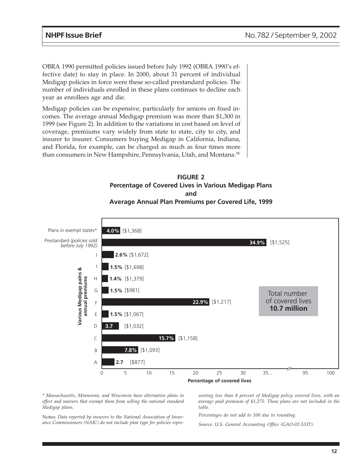OBRA 1990 permitted policies issued before July 1992 (OBRA 1990's effective date) to stay in place. In 2000, about 31 percent of individual Medigap policies in force were these so-called prestandard policies. The number of individuals enrolled in these plans continues to decline each year as enrollees age and die.

Medigap policies can be expensive, particularly for seniors on fixed incomes. The average annual Medigap premium was more than \$1,300 in 1999 (see Figure 2). In addition to the variations in cost based on level of coverage, premiums vary widely from state to state, city to city, and insurer to insurer. Consumers buying Medigap in California, Indiana, and Florida, for example, can be charged as much as four times more than consumers in New Hampshire, Pennsylvania, Utah, and Montana.<sup>38</sup>

### **FIGURE 2 Percentage of Covered Lives in Various Medigap Plans and Average Annual Plan Premiums per Covered Life, 1999**



*\* Massachusetts, Minnesota, and Wisconsin have alternative plans in effect and waivers that exempt them from selling the national standard Medigap plans.*

*senting less than 8 percent of Medigap policy covered lives, with an average paid premium of \$1,275. These plans are not included in the table.*

Notes: *Data reported by insurers to the National Association of Insurance Commissioners (NAIC) do not include plan type for policies repre-*

*Percentages do not add to 100 due to rounding.*

*Source: U.S. General Accounting Office (GAO-02-533T).*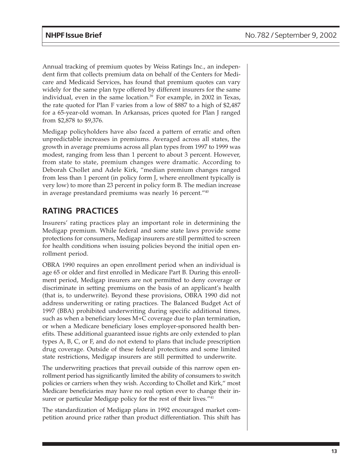Annual tracking of premium quotes by Weiss Ratings Inc., an independent firm that collects premium data on behalf of the Centers for Medicare and Medicaid Services, has found that premium quotes can vary widely for the same plan type offered by different insurers for the same individual, even in the same location.<sup>39</sup> For example, in 2002 in Texas, the rate quoted for Plan F varies from a low of \$887 to a high of \$2,487 for a 65-year-old woman. In Arkansas, prices quoted for Plan J ranged from \$2,878 to \$9,376.

Medigap policyholders have also faced a pattern of erratic and often unpredictable increases in premiums. Averaged across all states, the growth in average premiums across all plan types from 1997 to 1999 was modest, ranging from less than 1 percent to about 3 percent. However, from state to state, premium changes were dramatic. According to Deborah Chollet and Adele Kirk, "median premium changes ranged from less than 1 percent (in policy form J, where enrollment typically is very low) to more than 23 percent in policy form B. The median increase in average prestandard premiums was nearly 16 percent."40

# **RATING PRACTICES**

Insurers' rating practices play an important role in determining the Medigap premium. While federal and some state laws provide some protections for consumers, Medigap insurers are still permitted to screen for health conditions when issuing policies beyond the initial open enrollment period.

OBRA 1990 requires an open enrollment period when an individual is age 65 or older and first enrolled in Medicare Part B. During this enrollment period, Medigap insurers are not permitted to deny coverage or discriminate in setting premiums on the basis of an applicant's health (that is, to underwrite). Beyond these provisions, OBRA 1990 did not address underwriting or rating practices. The Balanced Budget Act of 1997 (BBA) prohibited underwriting during specific additional times, such as when a beneficiary loses M+C coverage due to plan termination, or when a Medicare beneficiary loses employer-sponsored health benefits. These additional guaranteed issue rights are only extended to plan types A, B, C, or F, and do not extend to plans that include prescription drug coverage. Outside of these federal protections and some limited state restrictions, Medigap insurers are still permitted to underwrite.

The underwriting practices that prevail outside of this narrow open enrollment period has significantly limited the ability of consumers to switch policies or carriers when they wish. According to Chollet and Kirk," most Medicare beneficiaries may have no real option ever to change their insurer or particular Medigap policy for the rest of their lives."<sup>41</sup>

The standardization of Medigap plans in 1992 encouraged market competition around price rather than product differentiation. This shift has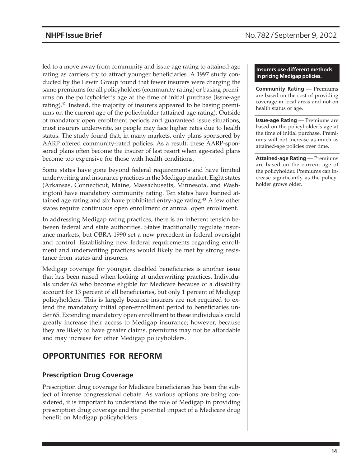led to a move away from community and issue-age rating to attained-age rating as carriers try to attract younger beneficiaries. A 1997 study conducted by the Lewin Group found that fewer insurers were charging the same premiums for all policyholders (community rating) or basing premiums on the policyholder's age at the time of initial purchase (issue-age rating).<sup>42</sup> Instead, the majority of insurers appeared to be basing premiums on the current age of the policyholder (attained-age rating). Outside of mandatory open enrollment periods and guaranteed issue situations, most insurers underwrite, so people may face higher rates due to health status. The study found that, in many markets, only plans sponsored by AARP offered community-rated policies. As a result, these AARP-sponsored plans often become the insurer of last resort when age-rated plans become too expensive for those with health conditions.

Some states have gone beyond federal requirements and have limited underwriting and insurance practices in the Medigap market. Eight states (Arkansas, Connecticut, Maine, Massachusetts, Minnesota, and Washington) have mandatory community rating. Ten states have banned attained age rating and six have prohibited entry-age rating.<sup>43</sup> A few other states require continuous open enrollment or annual open enrollment.

In addressing Medigap rating practices, there is an inherent tension between federal and state authorities. States traditionally regulate insurance markets, but OBRA 1990 set a new precedent in federal oversight and control. Establishing new federal requirements regarding enrollment and underwriting practices would likely be met by strong resistance from states and insurers.

Medigap coverage for younger, disabled beneficiaries is another issue that has been raised when looking at underwriting practices. Individuals under 65 who become eligible for Medicare because of a disability account for 13 percent of all beneficiaries, but only 1 percent of Medigap policyholders. This is largely because insurers are not required to extend the mandatory initial open-enrollment period to beneficiaries under 65. Extending mandatory open enrollment to these individuals could greatly increase their access to Medigap insurance; however, because they are likely to have greater claims, premiums may not be affordable and may increase for other Medigap policyholders.

# **OPPORTUNITIES FOR REFORM**

## **Prescription Drug Coverage**

Prescription drug coverage for Medicare beneficiaries has been the subject of intense congressional debate. As various options are being considered, it is important to understand the role of Medigap in providing prescription drug coverage and the potential impact of a Medicare drug benefit on Medigap policyholders.

#### **Insurers use different methods in pricing Medigap policies.**

**Community Rating** — Premiums are based on the cost of providing coverage in local areas and not on health status or age.

**Issue-age Rating** — Premiums are based on the policyholder's age at the time of initial purchase. Premiums will not increase as much as attained-age policies over time.

**Attained-age Rating** — Premiums are based on the current age of the policyholder. Premiums can increase significantly as the policyholder grows older.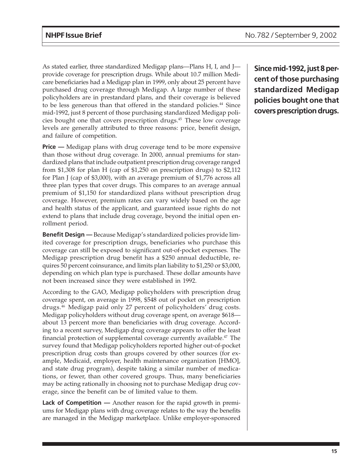As stated earlier, three standardized Medigap plans—Plans H, I, and J provide coverage for prescription drugs. While about 10.7 million Medicare beneficiaries had a Medigap plan in 1999, only about 25 percent have purchased drug coverage through Medigap. A large number of these policyholders are in prestandard plans, and their coverage is believed to be less generous than that offered in the standard policies.<sup>44</sup> Since mid-1992, just 8 percent of those purchasing standardized Medigap policies bought one that covers prescription drugs.45 These low coverage levels are generally attributed to three reasons: price, benefit design, and failure of competition.

**Price** — Medigap plans with drug coverage tend to be more expensive than those without drug coverage. In 2000, annual premiums for standardized plans that include outpatient prescription drug coverage ranged from \$1,308 for plan H (cap of \$1,250 on prescription drugs) to \$2,112 for Plan J (cap of \$3,000), with an average premium of \$1,776 across all three plan types that cover drugs. This compares to an average annual premium of \$1,150 for standardized plans without prescription drug coverage. However, premium rates can vary widely based on the age and health status of the applicant, and guaranteed issue rights do not extend to plans that include drug coverage, beyond the initial open enrollment period.

**Benefit Design —** Because Medigap's standardized policies provide limited coverage for prescription drugs, beneficiaries who purchase this coverage can still be exposed to significant out-of-pocket expenses. The Medigap prescription drug benefit has a \$250 annual deductible, requires 50 percent coinsurance, and limits plan liability to \$1,250 or \$3,000, depending on which plan type is purchased. These dollar amounts have not been increased since they were established in 1992.

According to the GAO, Medigap policyholders with prescription drug coverage spent, on average in 1998, \$548 out of pocket on prescription drugs.46 Medigap paid only 27 percent of policyholders' drug costs. Medigap policyholders without drug coverage spent, on average \$618 about 13 percent more than beneficiaries with drug coverage. According to a recent survey, Medigap drug coverage appears to offer the least financial protection of supplemental coverage currently available. $47$  The survey found that Medigap policyholders reported higher out-of-pocket prescription drug costs than groups covered by other sources (for example, Medicaid, employer, health maintenance organization [HMO], and state drug program), despite taking a similar number of medications, or fewer, than other covered groups. Thus, many beneficiaries may be acting rationally in choosing not to purchase Medigap drug coverage, since the benefit can be of limited value to them.

**Lack of Competition —** Another reason for the rapid growth in premiums for Medigap plans with drug coverage relates to the way the benefits are managed in the Medigap marketplace. Unlike employer-sponsored **Since mid-1992, just 8 percent of those purchasing standardized Medigap policies bought one that covers prescription drugs.**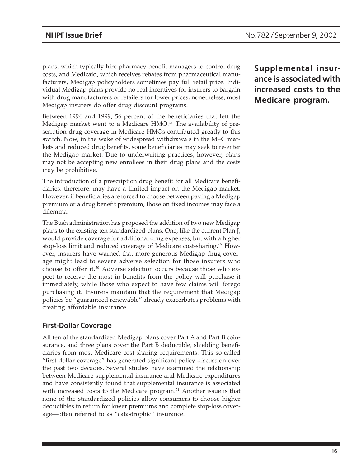plans, which typically hire pharmacy benefit managers to control drug costs, and Medicaid, which receives rebates from pharmaceutical manufacturers, Medigap policyholders sometimes pay full retail price. Individual Medigap plans provide no real incentives for insurers to bargain with drug manufacturers or retailers for lower prices; nonetheless, most Medigap insurers do offer drug discount programs.

Between 1994 and 1999, 56 percent of the beneficiaries that left the Medigap market went to a Medicare HMO.<sup>48</sup> The availability of prescription drug coverage in Medicare HMOs contributed greatly to this switch. Now, in the wake of widespread withdrawals in the M+C markets and reduced drug benefits, some beneficiaries may seek to re-enter the Medigap market. Due to underwriting practices, however, plans may not be accepting new enrollees in their drug plans and the costs may be prohibitive.

The introduction of a prescription drug benefit for all Medicare beneficiaries, therefore, may have a limited impact on the Medigap market. However, if beneficiaries are forced to choose between paying a Medigap premium or a drug benefit premium, those on fixed incomes may face a dilemma.

The Bush administration has proposed the addition of two new Medigap plans to the existing ten standardized plans. One, like the current Plan J, would provide coverage for additional drug expenses, but with a higher stop-loss limit and reduced coverage of Medicare cost-sharing.<sup>49</sup> However, insurers have warned that more generous Medigap drug coverage might lead to severe adverse selection for those insurers who choose to offer it.50 Adverse selection occurs because those who expect to receive the most in benefits from the policy will purchase it immediately, while those who expect to have few claims will forego purchasing it. Insurers maintain that the requirement that Medigap policies be "guaranteed renewable" already exacerbates problems with creating affordable insurance.

## **First-Dollar Coverage**

All ten of the standardized Medigap plans cover Part A and Part B coinsurance, and three plans cover the Part B deductible, shielding beneficiaries from most Medicare cost-sharing requirements. This so-called "first-dollar coverage" has generated significant policy discussion over the past two decades. Several studies have examined the relationship between Medicare supplemental insurance and Medicare expenditures and have consistently found that supplemental insurance is associated with increased costs to the Medicare program.<sup>51</sup> Another issue is that none of the standardized policies allow consumers to choose higher deductibles in return for lower premiums and complete stop-loss coverage—often referred to as "catastrophic" insurance.

**Supplemental insurance is associated with increased costs to the Medicare program.**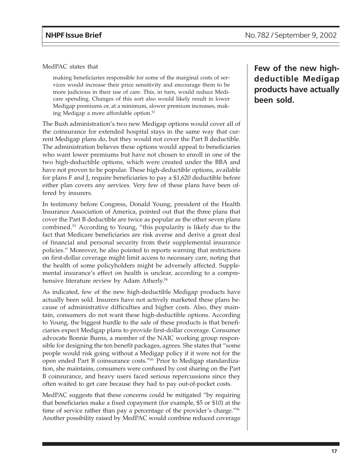MedPAC states that

making beneficiaries responsible for some of the marginal costs of services would increase their price sensitivity and encourage them to be more judicious in their use of care. This, in turn, would reduce Medicare spending. Changes of this sort also would likely result in lower Medigap premiums or, at a minimum, slower premium increases, making Medigap a more affordable option.52

The Bush administration's two new Medigap options would cover all of the coinsurance for extended hospital stays in the same way that current Medigap plans do, but they would not cover the Part B deductible. The administration believes these options would appeal to beneficiaries who want lower premiums but have not chosen to enroll in one of the two high-deductible options, which were created under the BBA and have not proven to be popular. These high-deductible options, available for plans F and J, require beneficiaries to pay a \$1,620 deductible before either plan covers any services. Very few of these plans have been offered by insurers.

In testimony before Congress, Donald Young, president of the Health Insurance Association of America, pointed out that the three plans that cover the Part B deductible are twice as popular as the other seven plans combined.53 According to Young, "this popularity is likely due to the fact that Medicare beneficiaries are risk averse and derive a great deal of financial and personal security from their supplemental insurance policies." Moreover, he also pointed to reports warning that restrictions on first-dollar coverage might limit access to necessary care, noting that the health of some policyholders might be adversely affected. Supplemental insurance's effect on health is unclear, according to a comprehensive literature review by Adam Atherly.<sup>54</sup>

As indicated, few of the new high-deductible Medigap products have actually been sold. Insurers have not actively marketed these plans because of administrative difficulties and higher costs. Also, they maintain, consumers do not want these high-deductible options. According to Young, the biggest hurdle to the sale of these products is that beneficiaries expect Medigap plans to provide first-dollar coverage. Consumer advocate Bonnie Burns, a member of the NAIC working group responsible for designing the ten benefit packages, agrees. She states that "some people would risk going without a Medigap policy if it were not for the open ended Part B coinsurance costs."55 Prior to Medigap standardization, she maintains, consumers were confused by cost sharing on the Part B coinsurance, and heavy users faced serious repercussions since they often waited to get care because they had to pay out-of-pocket costs.

MedPAC suggests that these concerns could be mitigated "by requiring that beneficiaries make a fixed copayment (for example, \$5 or \$10) at the time of service rather than pay a percentage of the provider's charge."56 Another possibility raised by MedPAC would combine reduced coverage

**Few of the new highdeductible Medigap products have actually been sold.**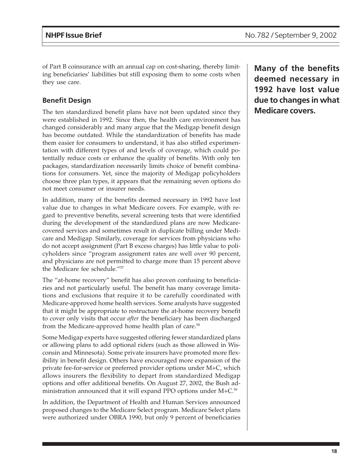of Part B coinsurance with an annual cap on cost-sharing, thereby limiting beneficiaries' liabilities but still exposing them to some costs when they use care.

## **Benefit Design**

The ten standardized benefit plans have not been updated since they were established in 1992. Since then, the health care environment has changed considerably and many argue that the Medigap benefit design has become outdated. While the standardization of benefits has made them easier for consumers to understand, it has also stifled experimentation with different types of and levels of coverage, which could potentially reduce costs or enhance the quality of benefits. With only ten packages, standardization necessarily limits choice of benefit combinations for consumers. Yet, since the majority of Medigap policyholders choose three plan types, it appears that the remaining seven options do not meet consumer or insurer needs.

In addition, many of the benefits deemed necessary in 1992 have lost value due to changes in what Medicare covers. For example, with regard to preventive benefits, several screening tests that were identified during the development of the standardized plans are now Medicarecovered services and sometimes result in duplicate billing under Medicare and Medigap. Similarly, coverage for services from physicians who do not accept assignment (Part B excess charges) has little value to policyholders since "program assignment rates are well over 90 percent, and physicians are not permitted to charge more than 15 percent above the Medicare fee schedule."57

The "at-home recovery" benefit has also proven confusing to beneficiaries and not particularly useful. The benefit has many coverage limitations and exclusions that require it to be carefully coordinated with Medicare-approved home health services. Some analysts have suggested that it might be appropriate to restructure the at-home recovery benefit to cover only visits that occur *after* the beneficiary has been discharged from the Medicare-approved home health plan of care.<sup>58</sup>

Some Medigap experts have suggested offering fewer standardized plans or allowing plans to add optional riders (such as those allowed in Wisconsin and Minnesota). Some private insurers have promoted more flexibility in benefit design. Others have encouraged more expansion of the private fee-for-service or preferred provider options under M+C, which allows insurers the flexibility to depart from standardized Medigap options and offer additional benefits. On August 27, 2002, the Bush administration announced that it will expand PPO options under M+C.<sup>59</sup>

In addition, the Department of Health and Human Services announced proposed changes to the Medicare Select program. Medicare Select plans were authorized under OBRA 1990, but only 9 percent of beneficiaries **Many of the benefits deemed necessary in 1992 have lost value due to changes in what Medicare covers.**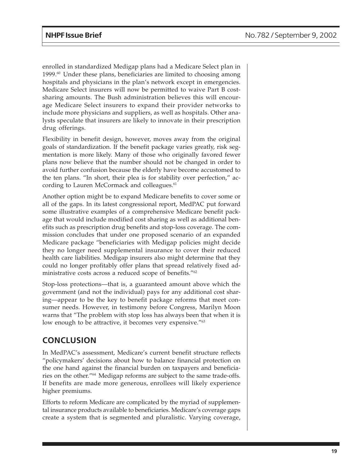enrolled in standardized Medigap plans had a Medicare Select plan in  $1999.^{\omega}$  Under these plans, beneficiaries are limited to choosing among hospitals and physicians in the plan's network except in emergencies. Medicare Select insurers will now be permitted to waive Part B costsharing amounts. The Bush administration believes this will encourage Medicare Select insurers to expand their provider networks to include more physicians and suppliers, as well as hospitals. Other analysts speculate that insurers are likely to innovate in their prescription drug offerings.

Flexibility in benefit design, however, moves away from the original goals of standardization. If the benefit package varies greatly, risk segmentation is more likely. Many of those who originally favored fewer plans now believe that the number should not be changed in order to avoid further confusion because the elderly have become accustomed to the ten plans. "In short, their plea is for stability over perfection," according to Lauren McCormack and colleagues.<sup>61</sup>

Another option might be to expand Medicare benefits to cover some or all of the gaps. In its latest congressional report, MedPAC put forward some illustrative examples of a comprehensive Medicare benefit package that would include modified cost sharing as well as additional benefits such as prescription drug benefits and stop-loss coverage. The commission concludes that under one proposed scenario of an expanded Medicare package "beneficiaries with Medigap policies might decide they no longer need supplemental insurance to cover their reduced health care liabilities. Medigap insurers also might determine that they could no longer profitably offer plans that spread relatively fixed administrative costs across a reduced scope of benefits."62

Stop-loss protections—that is, a guaranteed amount above which the government (and not the individual) pays for any additional cost sharing—appear to be the key to benefit package reforms that meet consumer needs. However, in testimony before Congress, Marilyn Moon warns that "The problem with stop loss has always been that when it is low enough to be attractive, it becomes very expensive."<sup>63</sup>

## **CONCLUSION**

In MedPAC's assessment, Medicare's current benefit structure reflects "policymakers' decisions about how to balance financial protection on the one hand against the financial burden on taxpayers and beneficiaries on the other."64 Medigap reforms are subject to the same trade-offs. If benefits are made more generous, enrollees will likely experience higher premiums.

Efforts to reform Medicare are complicated by the myriad of supplemental insurance products available to beneficiaries. Medicare's coverage gaps create a system that is segmented and pluralistic. Varying coverage,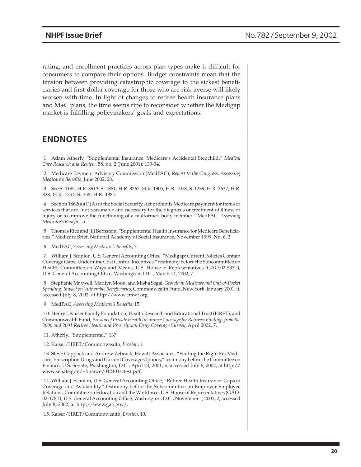rating, and enrollment practices across plan types make it difficult for consumers to compare their options. Budget constraints mean that the tension between providing catastrophic coverage to the sickest beneficiaries and first-dollar coverage for those who are risk-averse will likely worsen with time. In light of changes to retiree health insurance plans and M+C plans, the time seems ripe to reconsider whether the Medigap market is fulfilling policymakers' goals and expectations.

## **ENDNOTES**

1. Adam Atherly, "Supplemental Insurance: Medicare's Accidental Stepchild," *Medical Care Research and Review*, 58, no. 2 (June 2001): 133-34.

2. Medicare Payment Advisory Commission (MedPAC), *Report to the Congress: Assessing Medicare's Benefits,* June 2002, 28.

3. See S. 1185, H.R. 3913, S. 1881, H.R. 3267, H.R. 1905, H.R. 1078, S. 1239, H.R. 2632, H.R. 828, H.R. 4751, S. 358, H.R. 4984.

4. Section 1862(a)(1)(A) of the Social Security Act prohibits Medicare payment for items or services that are "not reasonable and necessary for the diagnosis or treatment of illness or injury or to improve the functioning of a malformed body member." MedPAC, *Assessing Medicare's Benefits,* 5.

5. Thomas Rice and Jill Bernstein, "Supplemental Health Insurance for Medicare Beneficiaries," Medicare Brief, National Academy of Social Insurance, November 1999, No. 6, 2.

6. MedPAC, *Assessing Medicare's Benefits*, 7.

7. William J. Scanlon, U.S. General Accounting Office, "Medigap: Current Policies Contain Coverage Gaps, Undermine Cost Control Incentives," testimony before the Subcommittee on Health, Committee on Ways and Means, U.S. House of Representatives (GAO-02-533T), U.S. General Accounting Office, Washington, D.C., March 14, 2002, 7.

8. Stephanie Maxwell, Marilyn Moon, and Misha Segal, *Growth in Medicare and Out-of-Pocket Spending: Impact on Vulnerable Beneficiaries*, Commonwealth Fund, New York, January 2001, ii; accessed July 8, 2002, at http://www.cmwf.org.

9. MedPAC, *Assessing Medicare's Benefits*, 15.

10. Henry J. Kaiser Family Foundation, Health Research and Educational Trust (HRET), and Commonwealth Fund, *Erosion of Private Health Insurance Coverage for Retirees: Findings from the 2000 and 2001 Retiree Health and Prescription Drug Coverage Survey*, April 2002, 7.

11. Atherly, "Supplemental," 137.

12. Kaiser/HRET/Commonwealth, *Erosion,* 1.

13. Steve Coppock and Andrew Zebrack, Hewitt Associates, "Finding the Right Fit: Medicare, Prescription Drugs and Current Coverage Options," testimony before the Committee on Finance, U.S. Senate, Washington, D.C., April 24, 2001, ii; accessed July 6, 2002, at http:// www.senate.gov/~finance/042401sctest.pdf.

14. William J. Scanlon, U.S. General Accounting Office, "Retiree Health Insurance: Gaps in Coverage and Availability," testimony before the Subcommittee on Employer-Employee Relations, Committee on Education and the Workforce, U.S. House of Representatives (GAO-02-178T), U.S. General Accounting Office, Washington, D.C., November 1, 2001, 2; accessed July 8, 2002, at http://www.gao.gov/.

15. Kaiser/HRET/Commonwealth, *Erosion,* 10.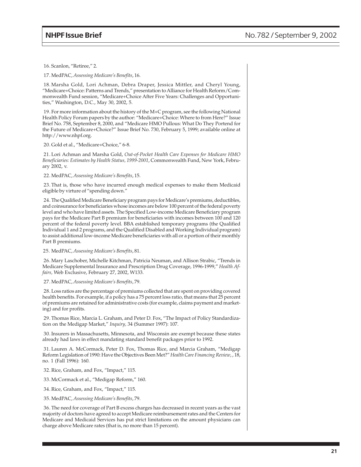16. Scanlon, "Retiree," 2.

17. MedPAC, *Assessing Medicare's Benefits*, 16.

18. Marsha Gold, Lori Achman, Debra Draper, Jessica Mittler, and Cheryl Young, "Medicare+Choice: Patterns and Trends," presentation to Alliance for Health Reform/Commonwealth Fund session, "Medicare+Choice After Five Years: Challenges and Opportunities," Washington, D.C., May 30, 2002, 5.

19. For more information about the history of the M+C program, see the following National Health Policy Forum papers by the author: "Medicare+Choice: Where to from Here?" Issue Brief No. 758, September 8, 2000, and "Medicare HMO Pullous: What Do They Portend for the Future of Medicare+Choice?" Issue Brief No. 730, February 5, 1999; available online at http://www.nhpf.org.

20. Gold et al., "Medicare+Choice," 6-8.

21. Lori Achman and Marsha Gold, *Out-of-Pocket Health Care Expenses for Medicare HMO Beneficiaries: Estimates by Health Status, 1999-2001*, Commonwealth Fund, New York, February 2002, v.

22. MedPAC, *Assessing Medicare's Benefits*, 15.

23. That is, those who have incurred enough medical expenses to make them Medicaid eligible by virture of "spending down."

24. The Qualified Medicare Beneficiary program pays for Medicare's premiums, deductibles, and coinsurance for beneficiaries whose incomes are below 100 percent of the federal poverty level and who have limited assets. The Specified Low-income Medicare Beneficiary program pays for the Medicare Part B premium for beneficiaries with incomes between 100 and 120 percent of the federal poverty level. BBA established temporary programs (the Qualified Individual 1 and 2 programs, and the Qualified Disabled and Working Individual program) to assist additional low-income Medicare beneficiaries with all or a portion of their monthly Part B premiums.

25. MedPAC, *Assessing Medicare's Benefits*, 81.

26. Mary Laschober, Michelle Kitchman, Patricia Neuman, and Allison Strabic, "Trends in Medicare Supplemental Insurance and Prescription Drug Coverage, 1996-1999," *Health Affairs,* Web Exclusive, February 27, 2002, W133.

27. MedPAC, *Assessing Medicare's Benefits*, 79.

28. Loss ratios are the percentage of premiums collected that are spent on providing covered health benefits. For example, if a policy has a 75 percent loss ratio, that means that 25 percent of premiums are retained for administrative costs (for example, claims payment and marketing) and for profits.

29. Thomas Rice, Marcia L. Graham, and Peter D. Fox, "The Impact of Policy Standardization on the Medigap Market," *Inquiry,* 34 (Summer 1997): 107.

30. Insurers in Massachusetts, Minnesota, and Wisconsin are exempt because these states already had laws in effect mandating standard benefit packages prior to 1992.

31. Lauren A. McCormack, Peter D. Fox, Thomas Rice, and Marcia Graham, "Medigap Reform Legislation of 1990: Have the Objectives Been Met?" *Health Care Financing Review*, , 18, no. 1 (Fall 1996): 160.

32. Rice, Graham, and Fox, "Impact," 115.

33. McCormack et al., "Medigap Reform," 160.

34. Rice, Graham, and Fox, "Impact," 115.

35. MedPAC, *Assessing Medicare's Benefits*, 79.

36. The need for coverage of Part B excess charges has decreased in recent years as the vast majority of doctors have agreed to accept Medicare reimbursement rates and the Centers for Medicare and Medicaid Services has put strict limitations on the amount physicians can charge above Medicare rates (that is, no more than 15 percent).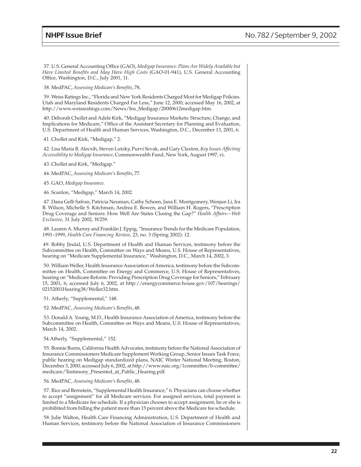37. U.S. General Accounting Office (GAO), *Medigap Insurance: Plans Are Widely Available but Have Limited Benefits and May Have High Costs* (GAO-01-941), U.S. General Accounting Office, Washington, D.C., July 2001, 11.

38. MedPAC, *Assessing Medicare's Benefits*, 78,

39. Weiss Ratings Inc., "Florida and New York Residents Charged Most for Medigap Policies. Utah and Maryland Residents Charged Far Less," June 12, 2000; accessed May 16, 2002, at http://www.weissratings.com/News/Ins\_Medigap/20000612medigap.htm.

40. Deborah Chollet and Adele Kirk, "Medigap Insurance Markets: Structure, Change, and Implications for Medicare," Office of the Assistant Secretary for Planning and Evaluation, U.S. Department of Health and Human Services, Washington, D.C., December 13, 2001, 6.

41. Chollet and Kirk, "Medigap," 2.

42. Lisa Maria B. Alecxih, Steven Lutzky, Purvi Sevak, and Gary Claxton, *Key Issues Affecting Accessibility to Medigap Insurance*, Commonwealth Fund, New York, August 1997, vi.

- 43. Chollet and Kirk, "Medigap."
- 44. MedPAC, *Assessing Medicare's Benefits*, 77.
- 45. GAO, *Medigap Insurance.*
- 46. Scanlon, "Medigap," March 14, 2002.

47. Dana Gelb Safran, Patricia Neuman, Cathy Schoen, Jana E. Montgomery, Wenjun Li, Ira B. Wilson, Michelle S. Kitchman, Andrea E. Bowen, and William H. Rogers, "Prescription Drug Coverage and Seniors: How Well Are States Closing the Gap?" *Health Affairs—Web Exclusive*, 31 July 2002, W259.

48. Lauren A. Murray and Franklin J. Eppig, "Insurance Trends for the Medicare Population, 1991–1999, *Health Care Financing Review*, 23, no. 3 (Spring 2002): 12.

49. Bobby Jindal, U.S. Department of Health and Human Services, testimony before the Subcommittee on Health, Committee on Ways and Means, U.S. House of Representatives, hearing on "Medicare Supplemental Insurance," Washington, D.C., March 14, 2002, 3.

50. William Weller, Health Insurance Association of America, testimony before the Subcommittee on Health, Committee on Energy and Commerce, U.S. House of Representatives, hearing on "Medicare Reform: Providing Prescription Drug Coverage for Seniors," February 15, 2001, 6; accessed July 6, 2002, at http://energycommerce.house.gov/107/hearings/ 02152001Hearing38/Weller32.htm.

51. Atherly, "Supplemental," 148.

52. MedPAC, *Assessing Medicare's Benefits*, 48.

53. Donald A. Young, M.D., Health Insurance Association of America, testimony before the Subcommittee on Health, Committee on Ways and Means, U.S. House of Representatives, March 14, 2002.

#### 54.Atherly, "Supplemental," 152.

55. Bonnie Burns, California Health Advocates, testimony before the National Association of Insurance Commissioners Medicare Supplement Working Group, Senior Issues Task Force, public hearing on Medigap standardized plans, NAIC Winter National Meeting, Boston, December 3, 2000; accessed July 6, 2002, at http://www.naic.org/1committee/b-committee/ medicare/Testimony\_Presented\_at\_Public\_Hearing.pdf.

56. MedPAC, *Assessing Medicare's Benefits*, 48.

57. Rice and Bernstein, "Supplemental Health Insurance," 6. Physicians can choose whether to accept "assignment" for all Medicare services. For assigned services, total payment is limited to a Medicare fee schedule. If a physician chooses to accept assignment, he or she is prohibited from billing the patient more than 15 percent above the Medicare fee schedule.

58. Julie Walton, Health Care Financing Administration, U.S. Department of Health and Human Services, testimony before the National Association of Insurance Commissioners